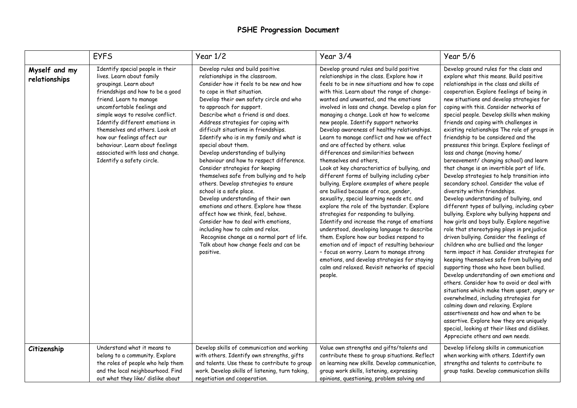## **PSHE Progression Document**

|                                | <b>EYFS</b>                                                                                                                                                                                                                                                                                                                                                                                                                     | Year $1/2$                                                                                                                                                                                                                                                                                                                                                                                                                                                                                                                                                                                                                                                                                                                                                                                                                                                                                                                                            | Year 3/4                                                                                                                                                                                                                                                                                                                                                                                                                                                                                                                                                                                                                                                                                                                                                                                                                                                                                                                                                                                                                                                                                                                                                                                                                                                | Year 5/6                                                                                                                                                                                                                                                                                                                                                                                                                                                                                                                                                                                                                                                                                                                                                                                                                                                                                                                                                                                                                                                                                                                                                                                                                                                                                                                                                                                                                                                                                                                                                                                                             |
|--------------------------------|---------------------------------------------------------------------------------------------------------------------------------------------------------------------------------------------------------------------------------------------------------------------------------------------------------------------------------------------------------------------------------------------------------------------------------|-------------------------------------------------------------------------------------------------------------------------------------------------------------------------------------------------------------------------------------------------------------------------------------------------------------------------------------------------------------------------------------------------------------------------------------------------------------------------------------------------------------------------------------------------------------------------------------------------------------------------------------------------------------------------------------------------------------------------------------------------------------------------------------------------------------------------------------------------------------------------------------------------------------------------------------------------------|---------------------------------------------------------------------------------------------------------------------------------------------------------------------------------------------------------------------------------------------------------------------------------------------------------------------------------------------------------------------------------------------------------------------------------------------------------------------------------------------------------------------------------------------------------------------------------------------------------------------------------------------------------------------------------------------------------------------------------------------------------------------------------------------------------------------------------------------------------------------------------------------------------------------------------------------------------------------------------------------------------------------------------------------------------------------------------------------------------------------------------------------------------------------------------------------------------------------------------------------------------|----------------------------------------------------------------------------------------------------------------------------------------------------------------------------------------------------------------------------------------------------------------------------------------------------------------------------------------------------------------------------------------------------------------------------------------------------------------------------------------------------------------------------------------------------------------------------------------------------------------------------------------------------------------------------------------------------------------------------------------------------------------------------------------------------------------------------------------------------------------------------------------------------------------------------------------------------------------------------------------------------------------------------------------------------------------------------------------------------------------------------------------------------------------------------------------------------------------------------------------------------------------------------------------------------------------------------------------------------------------------------------------------------------------------------------------------------------------------------------------------------------------------------------------------------------------------------------------------------------------------|
| Myself and my<br>relationships | Identify special people in their<br>lives. Learn about family<br>groupings. Learn about<br>friendships and how to be a good<br>friend. Learn to manage<br>uncomfortable feelings and<br>simple ways to resolve conflict.<br>Identify different emotions in<br>themselves and others. Look at<br>how our feelings affect our<br>behaviour. Learn about feelings<br>associated with loss and change.<br>Identify a safety circle. | Develop rules and build positive<br>relationships in the classroom.<br>Consider how it feels to be new and how<br>to cope in that situation.<br>Develop their own safety circle and who<br>to approach for support.<br>Describe what a friend is and does.<br>Address strategies for coping with<br>difficult situations in friendships.<br>Identify who is in my family and what is<br>special about them.<br>Develop understanding of bullying<br>behaviour and how to respect difference.<br>Consider strategies for keeping<br>themselves safe from bullying and to help<br>others. Develop strategies to ensure<br>school is a safe place.<br>Develop understanding of their own<br>emotions and others. Explore how these<br>affect how we think, feel, behave.<br>Consider how to deal with emotions,<br>including how to calm and relax.<br>Recognise change as a normal part of life.<br>Talk about how change feels and can be<br>positive. | Develop ground rules and build positive<br>relationships in the class. Explore how it<br>feels to be in new situations and how to cope<br>with this. Learn about the range of change-<br>wanted and unwanted, and the emotions<br>involved in loss and change. Develop a plan for<br>managing a change. Look at how to welcome<br>new people. Identify support networks<br>Develop awareness of healthy relationships.<br>Learn to manage conflict and how we affect<br>and are affected by others. value<br>differences and similarities between<br>themselves and others,<br>Look at key characteristics of bullying, and<br>different forms of bullying including cyber<br>bullying. Explore examples of where people<br>are bullied because of race, gender,<br>sexuality, special learning needs etc. and<br>explore the role of the bystander. Explore<br>strategies for responding to bullying.<br>Identify and increase the range of emotions<br>understood, developing language to describe<br>them. Explore how our bodies respond to<br>emotion and of impact of resulting behaviour<br>- focus on worry. Learn to manage strong<br>emotions, and develop strategies for staying<br>calm and relaxed. Revisit networks of special<br>people. | Develop ground rules for the class and<br>explore what this means. Build positive<br>relationships in the class and skills of<br>cooperation. Explore feelings of being in<br>new situations and develop strategies for<br>coping with this. Consider networks of<br>special people. Develop skills when making<br>friends and coping with challenges in<br>existing relationships The role of groups in<br>friendship to be considered and the<br>pressures this brings. Explore feelings of<br>loss and change (moving home/<br>bereavement/ changing school) and learn<br>that change is an invertible part of life.<br>Develop strategies to help transition into<br>secondary school. Consider the value of<br>diversity within friendships.<br>Develop understanding of bullying, and<br>different types of bullying, including cyber<br>bullying. Explore why bullying happens and<br>how girls and boys bully. Explore negative<br>role that stereotyping plays in prejudice<br>driven bullying. Consider the feelings of<br>children who are bullied and the longer<br>term impact it has. Consider strategies for<br>keeping themselves safe from bullying and<br>supporting those who have been bullied.<br>Develop understanding of own emotions and<br>others. Consider how to avoid or deal with<br>situations which make them upset, angry or<br>overwhelmed, including strategies for<br>calming down and relaxing. Explore<br>assertiveness and how and when to be<br>assertive. Explore how they are uniquely<br>special, looking at their likes and dislikes.<br>Appreciate others and own needs. |
| Citizenship                    | Understand what it means to<br>belong to a community. Explore<br>the roles of people who help them<br>and the local neighbourhood. Find<br>out what they like/ dislike about                                                                                                                                                                                                                                                    | Develop skills of communication and working<br>with others. Identify own strengths, gifts<br>and talents. Use these to contribute to group<br>work. Develop skills of listening, turn taking,<br>negotiation and cooperation.                                                                                                                                                                                                                                                                                                                                                                                                                                                                                                                                                                                                                                                                                                                         | Value own strengths and gifts/talents and<br>contribute these to group situations. Reflect<br>on learning new skills. Develop communication,<br>group work skills, listening, expressing<br>opinions, questioning, problem solving and                                                                                                                                                                                                                                                                                                                                                                                                                                                                                                                                                                                                                                                                                                                                                                                                                                                                                                                                                                                                                  | Develop lifelong skills in communication<br>when working with others. Identify own<br>strengths and talents to contribute to<br>group tasks. Develop communication skills                                                                                                                                                                                                                                                                                                                                                                                                                                                                                                                                                                                                                                                                                                                                                                                                                                                                                                                                                                                                                                                                                                                                                                                                                                                                                                                                                                                                                                            |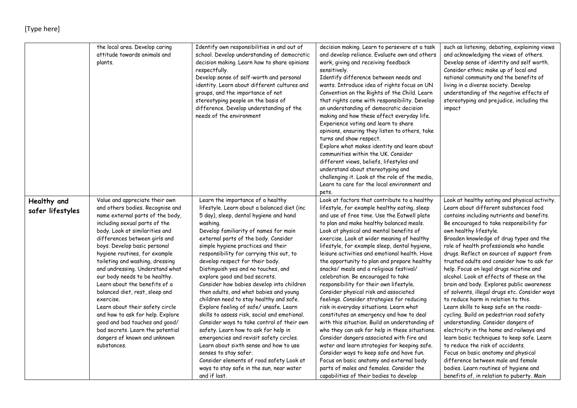## [Type here]

|                                 | the local area. Develop caring<br>attitude towards animals and<br>plants.                              | Identify own responsibilities in and out of<br>school. Develop understanding of democratic<br>decision making. Learn how to share opinions<br>respectfully.<br>Develop sense of self-worth and personal<br>identity. Learn about different cultures and<br>groups, and the importance of not<br>stereotyping people on the basis of<br>difference. Develop understanding of the<br>needs of the environment | decision making. Learn to persevere at a task<br>and develop reliance. Evaluate own and others<br>work, giving and receiving feedback<br>sensitively.<br>Identify difference between needs and<br>wants. Introduce idea of rights focus on UN<br>Convention on the Rights of the Child. Learn<br>that rights come with responsibility. Develop<br>an understanding of democratic decision<br>making and how these affect everyday life.<br>Experience voting and learn to share<br>opinions, ensuring they listen to others, take<br>turns and show respect.<br>Explore what makes identity and learn about<br>communities within the UK. Consider<br>different views, beliefs, lifestyles and<br>understand about stereotyping and<br>challenging it. Look at the role of the media,<br>Learn to care for the local environment and<br>pets. | such as listening, debating, explaining views<br>and acknowledging the views of others.<br>Develop sense of identity and self worth.<br>Consider ethnic make up of local and<br>national community and the benefits of<br>living in a diverse society. Develop<br>understanding of the negative effects of<br>stereotyping and prejudice, including the<br>impact |
|---------------------------------|--------------------------------------------------------------------------------------------------------|-------------------------------------------------------------------------------------------------------------------------------------------------------------------------------------------------------------------------------------------------------------------------------------------------------------------------------------------------------------------------------------------------------------|-----------------------------------------------------------------------------------------------------------------------------------------------------------------------------------------------------------------------------------------------------------------------------------------------------------------------------------------------------------------------------------------------------------------------------------------------------------------------------------------------------------------------------------------------------------------------------------------------------------------------------------------------------------------------------------------------------------------------------------------------------------------------------------------------------------------------------------------------|-------------------------------------------------------------------------------------------------------------------------------------------------------------------------------------------------------------------------------------------------------------------------------------------------------------------------------------------------------------------|
| Healthy and<br>safer lifestyles | Value and appreciate their own<br>and others bodies. Recognise and<br>name external parts of the body, | Learn the importance of a healthy<br>lifestyle. Learn about a balanced diet (inc<br>5 day), sleep, dental hygiene and hand                                                                                                                                                                                                                                                                                  | Look at factors that contribute to a healthy<br>lifestyle, for example healthy eating, sleep<br>and use of free time. Use the Eatwell plate                                                                                                                                                                                                                                                                                                                                                                                                                                                                                                                                                                                                                                                                                                   | Look at healthy eating and physical activity.<br>Learn about different substances food<br>contains including nutrients and benefits.                                                                                                                                                                                                                              |
|                                 | including sexual parts of the                                                                          | washing.                                                                                                                                                                                                                                                                                                                                                                                                    | to plan and make healthy balanced meals.                                                                                                                                                                                                                                                                                                                                                                                                                                                                                                                                                                                                                                                                                                                                                                                                      | Be encouraged to take responsibility for                                                                                                                                                                                                                                                                                                                          |
|                                 | body. Look at similarities and                                                                         | Develop familiarity of names for main                                                                                                                                                                                                                                                                                                                                                                       | Look at physical and mental benefits of                                                                                                                                                                                                                                                                                                                                                                                                                                                                                                                                                                                                                                                                                                                                                                                                       | own healthy lifestyle.                                                                                                                                                                                                                                                                                                                                            |
|                                 | differences between girls and                                                                          | external parts of the body. Consider                                                                                                                                                                                                                                                                                                                                                                        | exercise. Look at wider meaning of healthy                                                                                                                                                                                                                                                                                                                                                                                                                                                                                                                                                                                                                                                                                                                                                                                                    | Broaden knowledge of drug types and the                                                                                                                                                                                                                                                                                                                           |
|                                 | boys. Develop basic personal                                                                           | simple hygiene practices and their                                                                                                                                                                                                                                                                                                                                                                          | lifestyle, for example sleep, dental hygiene,                                                                                                                                                                                                                                                                                                                                                                                                                                                                                                                                                                                                                                                                                                                                                                                                 | role of health professionals who handle                                                                                                                                                                                                                                                                                                                           |
|                                 | hygiene routines, for example                                                                          | responsibility for carrying this out, to                                                                                                                                                                                                                                                                                                                                                                    | leisure activities and emotional health. Have                                                                                                                                                                                                                                                                                                                                                                                                                                                                                                                                                                                                                                                                                                                                                                                                 | drugs. Reflect on sources of support from                                                                                                                                                                                                                                                                                                                         |
|                                 | toileting and washing, dressing                                                                        | develop respect for their body.                                                                                                                                                                                                                                                                                                                                                                             | the opportunity to plan and prepare healthy                                                                                                                                                                                                                                                                                                                                                                                                                                                                                                                                                                                                                                                                                                                                                                                                   | trusted adults and consider how to ask for                                                                                                                                                                                                                                                                                                                        |
|                                 | and undressing. Understand what                                                                        | Distinguish yes and no touches, and                                                                                                                                                                                                                                                                                                                                                                         | snacks/ meals and a religious festival/                                                                                                                                                                                                                                                                                                                                                                                                                                                                                                                                                                                                                                                                                                                                                                                                       | help. Focus on legal drugs nicotine and                                                                                                                                                                                                                                                                                                                           |
|                                 | our body needs to be healthy.                                                                          | explore good and bad secrets.                                                                                                                                                                                                                                                                                                                                                                               | celebration. Be encouraged to take                                                                                                                                                                                                                                                                                                                                                                                                                                                                                                                                                                                                                                                                                                                                                                                                            | alcohol. Look at effects of these on the                                                                                                                                                                                                                                                                                                                          |
|                                 | Learn about the benefits of a                                                                          | Consider how babies develop into children                                                                                                                                                                                                                                                                                                                                                                   | responsibility for their own lifestyle.                                                                                                                                                                                                                                                                                                                                                                                                                                                                                                                                                                                                                                                                                                                                                                                                       | brain and body. Explores public awareness                                                                                                                                                                                                                                                                                                                         |
|                                 | balanced diet, rest, sleep and                                                                         | then adults, and what babies and young                                                                                                                                                                                                                                                                                                                                                                      | Consider physical risk and associated                                                                                                                                                                                                                                                                                                                                                                                                                                                                                                                                                                                                                                                                                                                                                                                                         | of solvents, illegal drugs etc. Consider ways                                                                                                                                                                                                                                                                                                                     |
|                                 | exercise.                                                                                              | children need to stay healthy and safe.                                                                                                                                                                                                                                                                                                                                                                     | feelings. Consider strategies for reducing                                                                                                                                                                                                                                                                                                                                                                                                                                                                                                                                                                                                                                                                                                                                                                                                    | to reduce harm in relation to this.                                                                                                                                                                                                                                                                                                                               |
|                                 | Learn about their safety circle                                                                        | Explore feeling of safe/unsafe. Learn                                                                                                                                                                                                                                                                                                                                                                       | risk in everyday situations. Learn what                                                                                                                                                                                                                                                                                                                                                                                                                                                                                                                                                                                                                                                                                                                                                                                                       | Learn skills to keep safe on the roads-                                                                                                                                                                                                                                                                                                                           |
|                                 | and how to ask for help. Explore                                                                       | skills to assess risk, social and emotional.                                                                                                                                                                                                                                                                                                                                                                | constitutes an emergency and how to deal                                                                                                                                                                                                                                                                                                                                                                                                                                                                                                                                                                                                                                                                                                                                                                                                      | cycling. Build on pedestrian road safety                                                                                                                                                                                                                                                                                                                          |
|                                 | good and bad touches and good/                                                                         | Consider ways to take control of their own                                                                                                                                                                                                                                                                                                                                                                  | with this situation. Build on understanding of                                                                                                                                                                                                                                                                                                                                                                                                                                                                                                                                                                                                                                                                                                                                                                                                | understanding. Consider dangers of                                                                                                                                                                                                                                                                                                                                |
|                                 | bad secrets. Learn the potential                                                                       | safety. Learn how to ask for help in                                                                                                                                                                                                                                                                                                                                                                        | who they can ask for help in these situations.                                                                                                                                                                                                                                                                                                                                                                                                                                                                                                                                                                                                                                                                                                                                                                                                | electricity in the home and railways and                                                                                                                                                                                                                                                                                                                          |
|                                 | dangers of known and unknown                                                                           | emergencies and revisit safety circles.                                                                                                                                                                                                                                                                                                                                                                     | Consider dangers associated with fire and                                                                                                                                                                                                                                                                                                                                                                                                                                                                                                                                                                                                                                                                                                                                                                                                     | learn basic techniques to keep safe. Learn                                                                                                                                                                                                                                                                                                                        |
|                                 | substances.                                                                                            | Learn about sixth sense and how to use                                                                                                                                                                                                                                                                                                                                                                      | water and learn strategies for keeping safe.                                                                                                                                                                                                                                                                                                                                                                                                                                                                                                                                                                                                                                                                                                                                                                                                  | to reduce the risk of accidents.                                                                                                                                                                                                                                                                                                                                  |
|                                 |                                                                                                        | senses to stay safer.                                                                                                                                                                                                                                                                                                                                                                                       | Consider ways to keep safe and have fun.                                                                                                                                                                                                                                                                                                                                                                                                                                                                                                                                                                                                                                                                                                                                                                                                      | Focus on basic anatomy and physical<br>difference between male and female                                                                                                                                                                                                                                                                                         |
|                                 |                                                                                                        | Consider elements of road safety Look at<br>ways to stay safe in the sun, near water                                                                                                                                                                                                                                                                                                                        | Focus on basic anatomy and external body<br>parts of males and females. Consider the                                                                                                                                                                                                                                                                                                                                                                                                                                                                                                                                                                                                                                                                                                                                                          | bodies. Learn routines of hygiene and                                                                                                                                                                                                                                                                                                                             |
|                                 |                                                                                                        | and if lost.                                                                                                                                                                                                                                                                                                                                                                                                | capabilities of their bodies to develop                                                                                                                                                                                                                                                                                                                                                                                                                                                                                                                                                                                                                                                                                                                                                                                                       | benefits of, in relation to puberty. Main                                                                                                                                                                                                                                                                                                                         |
|                                 |                                                                                                        |                                                                                                                                                                                                                                                                                                                                                                                                             |                                                                                                                                                                                                                                                                                                                                                                                                                                                                                                                                                                                                                                                                                                                                                                                                                                               |                                                                                                                                                                                                                                                                                                                                                                   |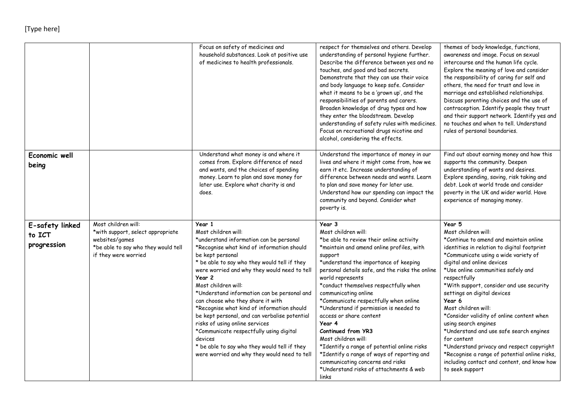## [Type here]

|                                          |                                                                                                                                           | Focus on safety of medicines and<br>household substances. Look at positive use<br>of medicines to health professionals.                                                                                                                                                                                                                                                                                                                                                                                                                                                                                                                                | respect for themselves and others. Develop<br>understanding of personal hygiene further.<br>Describe the difference between yes and no<br>touches, and good and bad secrets.<br>Demonstrate that they can use their voice<br>and body language to keep safe. Consider<br>what it means to be a 'grown up', and the<br>responsibilities of parents and carers.<br>Broaden knowledge of drug types and how<br>they enter the bloodstream. Develop<br>understanding of safety rules with medicines.<br>Focus on recreational drugs nicotine and<br>alcohol, considering the effects.                                                                                           | themes of body knowledge, functions,<br>awareness and image. Focus on sexual<br>intercourse and the human life cycle.<br>Explore the meaning of love and consider<br>the responsibility of caring for self and<br>others, the need for trust and love in<br>marriage and established relationships.<br>Discuss parenting choices and the use of<br>contraception. Identify people they trust<br>and their support network. Identify yes and<br>no touches and when to tell. Understand<br>rules of personal boundaries.                                                                                                                                       |
|------------------------------------------|-------------------------------------------------------------------------------------------------------------------------------------------|--------------------------------------------------------------------------------------------------------------------------------------------------------------------------------------------------------------------------------------------------------------------------------------------------------------------------------------------------------------------------------------------------------------------------------------------------------------------------------------------------------------------------------------------------------------------------------------------------------------------------------------------------------|-----------------------------------------------------------------------------------------------------------------------------------------------------------------------------------------------------------------------------------------------------------------------------------------------------------------------------------------------------------------------------------------------------------------------------------------------------------------------------------------------------------------------------------------------------------------------------------------------------------------------------------------------------------------------------|---------------------------------------------------------------------------------------------------------------------------------------------------------------------------------------------------------------------------------------------------------------------------------------------------------------------------------------------------------------------------------------------------------------------------------------------------------------------------------------------------------------------------------------------------------------------------------------------------------------------------------------------------------------|
| Economic well<br>being                   |                                                                                                                                           | Understand what money is and where it<br>comes from. Explore difference of need<br>and wants, and the choices of spending<br>money. Learn to plan and save money for<br>later use. Explore what charity is and<br>does.                                                                                                                                                                                                                                                                                                                                                                                                                                | Understand the importance of money in our<br>lives and where it might come from, how we<br>earn it etc. Increase understanding of<br>difference between needs and wants. Learn<br>to plan and save money for later use.<br>Understand how our spending can impact the<br>community and beyond. Consider what<br>poverty is.                                                                                                                                                                                                                                                                                                                                                 | Find out about earning money and how this<br>supports the community. Deepen<br>understanding of wants and desires.<br>Explore spending, saving, risk taking and<br>debt. Look at world trade and consider<br>poverty in the UK and wider world. Have<br>experience of managing money.                                                                                                                                                                                                                                                                                                                                                                         |
| E-safety linked<br>to ICT<br>progression | Most children will:<br>*with support, select appropriate<br>websites/games<br>*be able to say who they would tell<br>if they were worried | Year 1<br>Most children will:<br>*understand information can be personal<br>*Recognise what kind of information should<br>be kept personal<br>* be able to say who they would tell if they<br>were worried and why they would need to tell<br>Year 2<br>Most children will:<br>*Understand information can be personal and<br>can choose who they share it with<br>*Recognise what kind of information should<br>be kept personal, and can verbalise potential<br>risks of using online services<br>*Communicate respectfully using digital<br>devices<br>* be able to say who they would tell if they<br>were worried and why they would need to tell | Year 3<br>Most children will:<br>*be able to review their online activity<br>*maintain and amend online profiles, with<br>support<br>*understand the importance of keeping<br>personal details safe, and the risks the online<br>world represents<br>*conduct themselves respectfully when<br>communicating online<br>*Communicate respectfully when online<br>*Understand if permission is needed to<br>access or share content<br>Year 4<br>Continued from YR3<br>Most children will:<br>*Identify a range of potential online risks<br>*Identify a range of ways of reporting and<br>communicating concerns and risks<br>*Understand risks of attachments & web<br>links | Year 5<br>Most children will:<br>*Continue to amend and maintain online<br>identities in relation to digital footprint<br>*Communicate using a wide variety of<br>digital and online devices<br>*Use online communities safely and<br>respectfully<br>*With support, consider and use security<br>settings on digital devices<br>Year 6<br>Most children will:<br>*Consider validity of online content when<br>using search engines<br>*Understand and use safe search engines<br>for content<br>*Understand privacy and respect copyright<br>*Recognise a range of potential online risks,<br>including contact and content, and know how<br>to seek support |